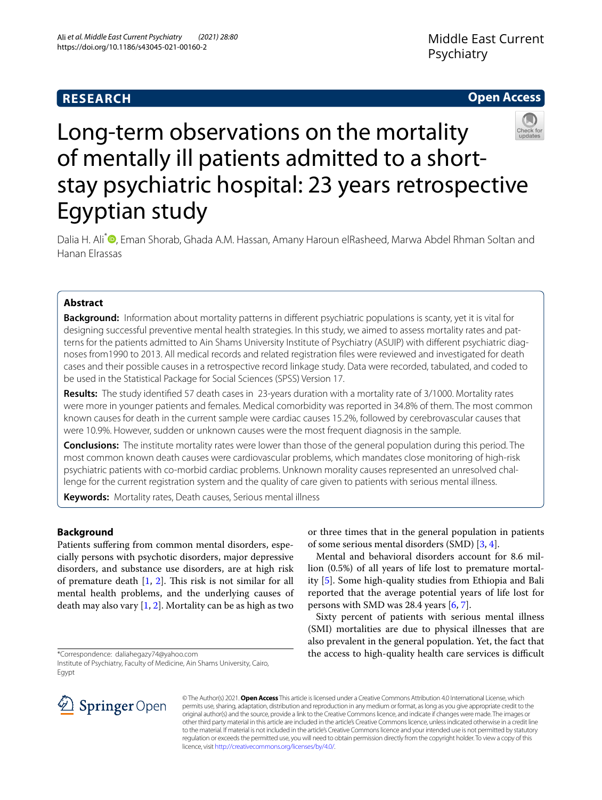# **RESEARCH**

## **Open Access**



# Long-term observations on the mortality of mentally ill patients admitted to a shortstay psychiatric hospital: 23 years retrospective Egyptian study

Dalia H. Ali<sup>\*</sup> [,](http://orcid.org/0000-0002-3687-1962) Eman Shorab, Ghada A.M. Hassan, Amany Haroun elRasheed, Marwa Abdel Rhman Soltan and Hanan Elrassas

## **Abstract**

**Background:** Information about mortality patterns in diferent psychiatric populations is scanty, yet it is vital for designing successful preventive mental health strategies. In this study, we aimed to assess mortality rates and patterns for the patients admitted to Ain Shams University Institute of Psychiatry (ASUIP) with diferent psychiatric diagnoses from1990 to 2013. All medical records and related registration fles were reviewed and investigated for death cases and their possible causes in a retrospective record linkage study. Data were recorded, tabulated, and coded to be used in the Statistical Package for Social Sciences (SPSS) Version 17.

**Results:** The study identifed 57 death cases in 23-years duration with a mortality rate of 3/1000. Mortality rates were more in younger patients and females. Medical comorbidity was reported in 34.8% of them. The most common known causes for death in the current sample were cardiac causes 15.2%, followed by cerebrovascular causes that were 10.9%. However, sudden or unknown causes were the most frequent diagnosis in the sample.

**Conclusions:** The institute mortality rates were lower than those of the general population during this period. The most common known death causes were cardiovascular problems, which mandates close monitoring of high-risk psychiatric patients with co-morbid cardiac problems. Unknown morality causes represented an unresolved challenge for the current registration system and the quality of care given to patients with serious mental illness.

**Keywords:** Mortality rates, Death causes, Serious mental illness

## **Background**

Patients sufering from common mental disorders, especially persons with psychotic disorders, major depressive disorders, and substance use disorders, are at high risk of premature death  $[1, 2]$  $[1, 2]$  $[1, 2]$  $[1, 2]$  $[1, 2]$ . This risk is not similar for all mental health problems, and the underlying causes of death may also vary  $[1, 2]$  $[1, 2]$  $[1, 2]$  $[1, 2]$ . Mortality can be as high as two

\*Correspondence: daliahegazy74@yahoo.com



lion (0.5%) of all years of life lost to premature mortality [\[5](#page-5-4)]. Some high-quality studies from Ethiopia and Bali reported that the average potential years of life lost for persons with SMD was 28.4 years [[6,](#page-5-5) [7](#page-5-6)].

Sixty percent of patients with serious mental illness (SMI) mortalities are due to physical illnesses that are also prevalent in the general population. Yet, the fact that the access to high-quality health care services is difficult



© The Author(s) 2021. **Open Access** This article is licensed under a Creative Commons Attribution 4.0 International License, which permits use, sharing, adaptation, distribution and reproduction in any medium or format, as long as you give appropriate credit to the original author(s) and the source, provide a link to the Creative Commons licence, and indicate if changes were made. The images or other third party material in this article are included in the article's Creative Commons licence, unless indicated otherwise in a credit line to the material. If material is not included in the article's Creative Commons licence and your intended use is not permitted by statutory regulation or exceeds the permitted use, you will need to obtain permission directly from the copyright holder. To view a copy of this licence, visit [http://creativecommons.org/licenses/by/4.0/.](http://creativecommons.org/licenses/by/4.0/)

Institute of Psychiatry, Faculty of Medicine, Ain Shams University, Cairo, **Egypt**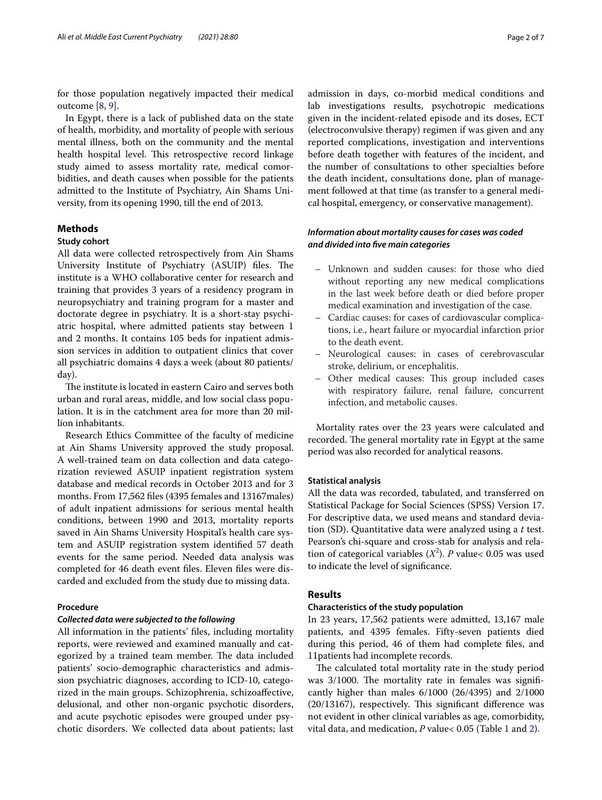for those population negatively impacted their medical outcome [\[8,](#page-5-7) [9](#page-5-8)].

In Egypt, there is a lack of published data on the state of health, morbidity, and mortality of people with serious mental illness, both on the community and the mental health hospital level. This retrospective record linkage study aimed to assess mortality rate, medical comorbidities, and death causes when possible for the patients admitted to the Institute of Psychiatry, Ain Shams University, from its opening 1990, till the end of 2013.

#### **Methods**

#### **Study cohort**

All data were collected retrospectively from Ain Shams University Institute of Psychiatry (ASUIP) files. The institute is a WHO collaborative center for research and training that provides 3 years of a residency program in neuropsychiatry and training program for a master and doctorate degree in psychiatry. It is a short-stay psychiatric hospital, where admitted patients stay between 1 and 2 months. It contains 105 beds for inpatient admission services in addition to outpatient clinics that cover all psychiatric domains 4 days a week (about 80 patients/ day).

The institute is located in eastern Cairo and serves both urban and rural areas, middle, and low social class population. It is in the catchment area for more than 20 million inhabitants.

Research Ethics Committee of the faculty of medicine at Ain Shams University approved the study proposal. A well-trained team on data collection and data categorization reviewed ASUIP inpatient registration system database and medical records in October 2013 and for 3 months. From 17,562 fles (4395 females and 13167males) of adult inpatient admissions for serious mental health conditions, between 1990 and 2013, mortality reports saved in Ain Shams University Hospital's health care system and ASUIP registration system identifed 57 death events for the same period. Needed data analysis was completed for 46 death event fles. Eleven fles were discarded and excluded from the study due to missing data.

#### **Procedure**

#### *Collected data were subjected to the following*

All information in the patients' fles, including mortality reports, were reviewed and examined manually and categorized by a trained team member. The data included patients' socio-demographic characteristics and admission psychiatric diagnoses, according to ICD-10, categorized in the main groups. Schizophrenia, schizoafective, delusional, and other non-organic psychotic disorders, and acute psychotic episodes were grouped under psychotic disorders. We collected data about patients; last admission in days, co-morbid medical conditions and lab investigations results, psychotropic medications given in the incident-related episode and its doses, ECT (electroconvulsive therapy) regimen if was given and any reported complications, investigation and interventions before death together with features of the incident, and the number of consultations to other specialties before the death incident, consultations done, plan of management followed at that time (as transfer to a general medical hospital, emergency, or conservative management).

## *Information about mortality causes for cases was coded and divided into fve main categories*

- Unknown and sudden causes: for those who died without reporting any new medical complications in the last week before death or died before proper medical examination and investigation of the case.
- Cardiac causes: for cases of cardiovascular complications, i.e., heart failure or myocardial infarction prior to the death event.
- Neurological causes: in cases of cerebrovascular stroke, delirium, or encephalitis.
- Other medical causes: This group included cases with respiratory failure, renal failure, concurrent infection, and metabolic causes.

Mortality rates over the 23 years were calculated and recorded. The general mortality rate in Egypt at the same period was also recorded for analytical reasons.

#### **Statistical analysis**

All the data was recorded, tabulated, and transferred on Statistical Package for Social Sciences (SPSS) Version 17. For descriptive data, we used means and standard deviation (SD). Quantitative data were analyzed using a *t* test. Pearson's chi-square and cross-stab for analysis and relation of categorical variables  $(X^2)$ . *P* value< 0.05 was used to indicate the level of signifcance.

#### **Results**

#### **Characteristics of the study population**

In 23 years, 17,562 patients were admitted, 13,167 male patients, and 4395 females. Fifty-seven patients died during this period, 46 of them had complete fles, and 11patients had incomplete records.

The calculated total mortality rate in the study period was  $3/1000$ . The mortality rate in females was significantly higher than males 6/1000 (26/4395) and 2/1000  $(20/13167)$ , respectively. This significant difference was not evident in other clinical variables as age, comorbidity, vital data, and medication, *P* value< 0.05 (Table [1](#page-2-0) and [2\)](#page-2-1).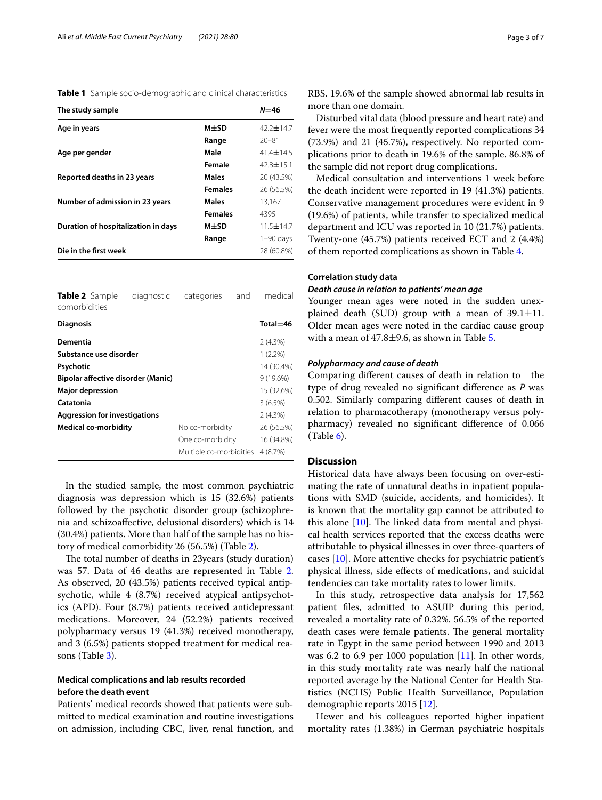<span id="page-2-0"></span>**Table 1** Sample socio-demographic and clinical characteristics

| The study sample                    |                | $N = 46$        |
|-------------------------------------|----------------|-----------------|
| Age in years                        | $M\pm SD$      | 42.2 $\pm$ 14.7 |
|                                     | Range          | $20 - 81$       |
| Age per gender                      | Male           | 41.4 $\pm$ 14.5 |
|                                     | Female         | $42.8 \pm 15.1$ |
| Reported deaths in 23 years         | <b>Males</b>   | 20 (43.5%)      |
|                                     | <b>Females</b> | 26 (56.5%)      |
| Number of admission in 23 years     | <b>Males</b>   | 13.167          |
|                                     | <b>Females</b> | 4395            |
| Duration of hospitalization in days | M±SD           | 11.5 $\pm$ 14.7 |
|                                     | Range          | $1-90$ days     |
| Die in the first week               |                | 28 (60.8%)      |

<span id="page-2-1"></span>**Table 2** Sample diagnostic categories and medical comorbidities

| <b>Diagnosis</b>                     |                         | $Total = 46$ |
|--------------------------------------|-------------------------|--------------|
| Dementia                             |                         | $2(4.3\%)$   |
| Substance use disorder               |                         | $1(2.2\%)$   |
| Psychotic                            |                         | 14 (30.4%)   |
| Bipolar affective disorder (Manic)   |                         | $9(19.6\%)$  |
| <b>Major depression</b>              |                         | 15 (32.6%)   |
| Catatonia                            |                         | 3(6.5%)      |
| <b>Aggression for investigations</b> |                         | $2(4.3\%)$   |
| <b>Medical co-morbidity</b>          | No co-morbidity         | 26 (56.5%)   |
|                                      | One co-morbidity        | 16 (34.8%)   |
|                                      | Multiple co-morbidities | 4 (8.7%)     |

In the studied sample, the most common psychiatric diagnosis was depression which is 15 (32.6%) patients followed by the psychotic disorder group (schizophrenia and schizoafective, delusional disorders) which is 14 (30.4%) patients. More than half of the sample has no history of medical comorbidity 26 (56.5%) (Table [2\)](#page-2-1).

The total number of deaths in 23 years (study duration) was 57. Data of 46 deaths are represented in Table [2](#page-2-1). As observed, 20 (43.5%) patients received typical antipsychotic, while 4 (8.7%) received atypical antipsychotics (APD). Four (8.7%) patients received antidepressant medications. Moreover, 24 (52.2%) patients received polypharmacy versus 19 (41.3%) received monotherapy, and 3 (6.5%) patients stopped treatment for medical reasons (Table [3](#page-3-0)).

### **Medical complications and lab results recorded before the death event**

Patients' medical records showed that patients were submitted to medical examination and routine investigations on admission, including CBC, liver, renal function, and RBS. 19.6% of the sample showed abnormal lab results in more than one domain.

Disturbed vital data (blood pressure and heart rate) and fever were the most frequently reported complications 34 (73.9%) and 21 (45.7%), respectively. No reported complications prior to death in 19.6% of the sample. 86.8% of the sample did not report drug complications.

Medical consultation and interventions 1 week before the death incident were reported in 19 (41.3%) patients. Conservative management procedures were evident in 9 (19.6%) of patients, while transfer to specialized medical department and ICU was reported in 10 (21.7%) patients. Twenty-one (45.7%) patients received ECT and 2 (4.4%) of them reported complications as shown in Table [4.](#page-4-0)

#### **Correlation study data**

#### *Death cause in relation to patients' mean age*

Younger mean ages were noted in the sudden unexplained death (SUD) group with a mean of  $39.1 \pm 11$ . Older mean ages were noted in the cardiac cause group with a mean of  $47.8 \pm 9.6$ , as shown in Table [5](#page-4-1).

#### *Polypharmacy and cause of death*

Comparing diferent causes of death in relation to the type of drug revealed no signifcant diference as *P* was 0.502. Similarly comparing diferent causes of death in relation to pharmacotherapy (monotherapy versus polypharmacy) revealed no signifcant diference of 0.066  $(Table 6)$  $(Table 6)$ .

#### **Discussion**

Historical data have always been focusing on over-estimating the rate of unnatural deaths in inpatient populations with SMD (suicide, accidents, and homicides). It is known that the mortality gap cannot be attributed to this alone  $[10]$  $[10]$ . The linked data from mental and physical health services reported that the excess deaths were attributable to physical illnesses in over three-quarters of cases [[10\]](#page-5-9). More attentive checks for psychiatric patient's physical illness, side efects of medications, and suicidal tendencies can take mortality rates to lower limits.

In this study, retrospective data analysis for 17,562 patient fles, admitted to ASUIP during this period, revealed a mortality rate of 0.32%. 56.5% of the reported death cases were female patients. The general mortality rate in Egypt in the same period between 1990 and 2013 was 6.2 to 6.9 per 1000 population  $[11]$  $[11]$ . In other words, in this study mortality rate was nearly half the national reported average by the National Center for Health Statistics (NCHS) Public Health Surveillance, Population demographic reports 2015 [\[12\]](#page-6-0).

Hewer and his colleagues reported higher inpatient mortality rates (1.38%) in German psychiatric hospitals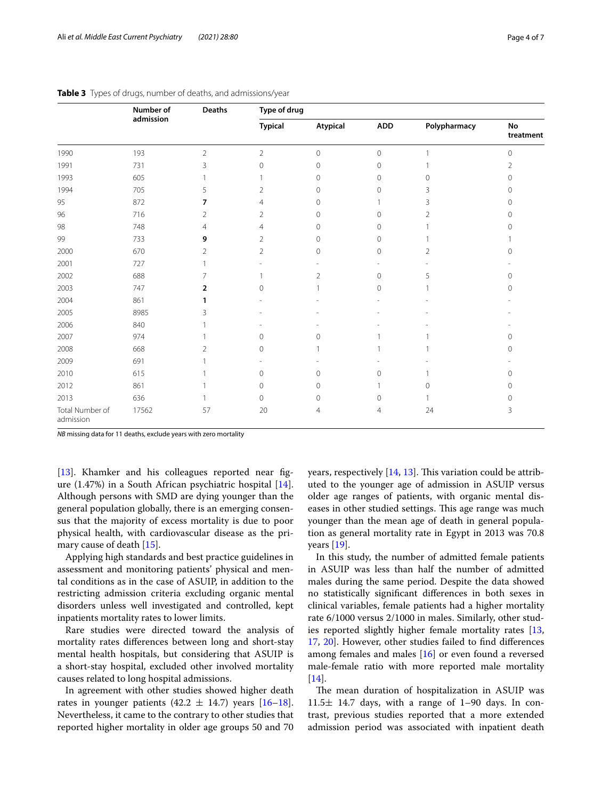|                              | Number of<br>admission |                | <b>Deaths</b>  | Type of drug    |              |                |                     |  |
|------------------------------|------------------------|----------------|----------------|-----------------|--------------|----------------|---------------------|--|
|                              |                        |                | <b>Typical</b> | <b>Atypical</b> | ADD          | Polypharmacy   | No<br>treatment     |  |
| 1990                         | 193                    | $\overline{2}$ | $\sqrt{2}$     | 0               | $\mathbf 0$  |                | 0                   |  |
| 1991                         | 731                    | 3              | $\mathbf 0$    | $\mathbf{0}$    | $\mathbf{0}$ |                | 2                   |  |
| 1993                         | 605                    |                |                | 0               | $\mathbf{0}$ | $\mathbf{0}$   | 0                   |  |
| 1994                         | 705                    | 5              | 2              | $\mathbf{0}$    | $\mathbf{0}$ | 3              | 0                   |  |
| 95                           | 872                    | 7              | 4              | 0               |              | 3              | 0                   |  |
| 96                           | 716                    | 2              | $\overline{2}$ | $\mathbf{0}$    | $\Omega$     | 2              | 0                   |  |
| 98                           | 748                    | 4              | $\overline{4}$ | $\mathbf{0}$    | $\Omega$     |                | $\Omega$            |  |
| 99                           | 733                    | 9              | $\overline{2}$ | 0               | $\mathbf{0}$ |                |                     |  |
| 2000                         | 670                    | $\overline{2}$ | $\overline{2}$ | $\mathbf 0$     | $\circ$      | $\overline{2}$ | $\Omega$            |  |
| 2001                         | 727                    |                |                |                 |              |                |                     |  |
| 2002                         | 688                    | 7              |                | $\overline{2}$  | $\mathbf{0}$ | 5              | 0                   |  |
| 2003                         | 747                    | $\overline{2}$ | $\mathbf{0}$   |                 | $\mathbf{0}$ |                | 0                   |  |
| 2004                         | 861                    | 1              |                |                 |              |                |                     |  |
| 2005                         | 8985                   | 3              |                |                 |              |                |                     |  |
| 2006                         | 840                    |                |                |                 |              |                |                     |  |
| 2007                         | 974                    |                | $\mathbf{0}$   | $\mathbf{0}$    |              |                | $\circ$             |  |
| 2008                         | 668                    | 2              | $\mathbf{0}$   |                 |              |                | 0                   |  |
| 2009                         | 691                    |                |                |                 |              |                |                     |  |
| 2010                         | 615                    |                | $\mathbf{0}$   | 0               | $\Omega$     |                | $\circ$             |  |
| 2012                         | 861                    |                | $\mathbf 0$    | 0               |              | $\Omega$       | 0                   |  |
| 2013                         | 636                    |                | 0              | 0               | $\circ$      |                | $\mathsf{O}\xspace$ |  |
| Total Number of<br>admission | 17562                  | 57             | 20             | 4               | 4            | 24             | 3                   |  |

#### <span id="page-3-0"></span>**Table 3** Types of drugs, number of deaths, and admissions/year

*NB* missing data for 11 deaths, exclude years with zero mortality

[[13\]](#page-6-1). Khamker and his colleagues reported near figure (1.47%) in a South African psychiatric hospital [\[14](#page-6-2)]. Although persons with SMD are dying younger than the general population globally, there is an emerging consensus that the majority of excess mortality is due to poor physical health, with cardiovascular disease as the primary cause of death [[15\]](#page-6-3).

Applying high standards and best practice guidelines in assessment and monitoring patients' physical and mental conditions as in the case of ASUIP, in addition to the restricting admission criteria excluding organic mental disorders unless well investigated and controlled, kept inpatients mortality rates to lower limits.

Rare studies were directed toward the analysis of mortality rates diferences between long and short-stay mental health hospitals, but considering that ASUIP is a short-stay hospital, excluded other involved mortality causes related to long hospital admissions.

In agreement with other studies showed higher death rates in younger patients  $(42.2 \pm 14.7)$  years  $[16-18]$  $[16-18]$  $[16-18]$ . Nevertheless, it came to the contrary to other studies that reported higher mortality in older age groups 50 and 70 years, respectively  $[14, 13]$  $[14, 13]$  $[14, 13]$  $[14, 13]$ . This variation could be attributed to the younger age of admission in ASUIP versus older age ranges of patients, with organic mental diseases in other studied settings. This age range was much younger than the mean age of death in general population as general mortality rate in Egypt in 2013 was 70.8 years [\[19](#page-6-6)].

In this study, the number of admitted female patients in ASUIP was less than half the number of admitted males during the same period. Despite the data showed no statistically signifcant diferences in both sexes in clinical variables, female patients had a higher mortality rate 6/1000 versus 2/1000 in males. Similarly, other studies reported slightly higher female mortality rates [[13](#page-6-1), [17,](#page-6-7) [20\]](#page-6-8). However, other studies failed to fnd diferences among females and males [\[16](#page-6-4)] or even found a reversed male-female ratio with more reported male mortality [[14\]](#page-6-2).

The mean duration of hospitalization in ASUIP was  $11.5\pm 14.7$  days, with a range of 1–90 days. In contrast, previous studies reported that a more extended admission period was associated with inpatient death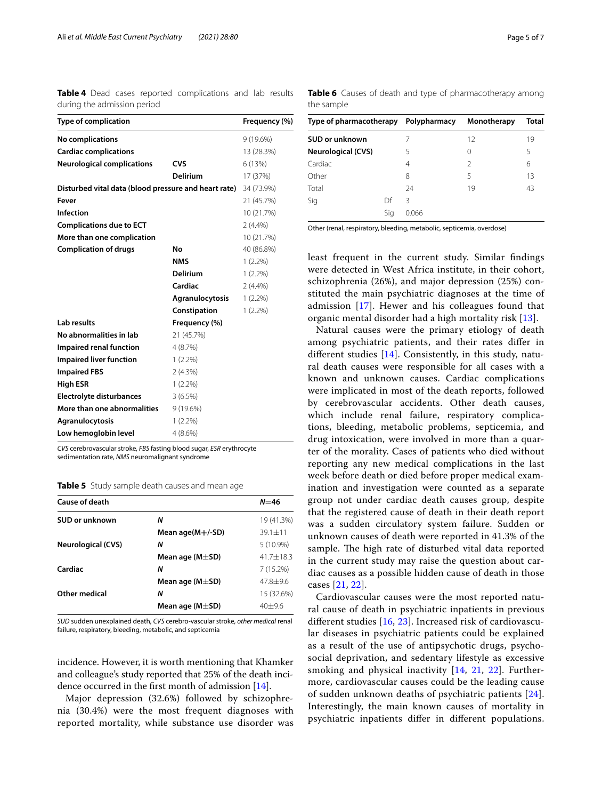<span id="page-4-0"></span>**Table 4** Dead cases reported complications and lab results during the admission period

| <b>Type of complication</b>                          |                        | Frequency (%) |
|------------------------------------------------------|------------------------|---------------|
| <b>No complications</b>                              |                        | 9 (19.6%)     |
| <b>Cardiac complications</b>                         |                        | 13 (28.3%)    |
| <b>Neurological complications</b>                    | CVS                    | 6 (13%)       |
|                                                      | <b>Delirium</b>        | 17 (37%)      |
| Disturbed vital data (blood pressure and heart rate) |                        | 34 (73.9%)    |
| Fever                                                |                        | 21 (45.7%)    |
| <b>Infection</b>                                     |                        | 10 (21.7%)    |
| <b>Complications due to ECT</b>                      |                        | $2(4.4\%)$    |
| More than one complication                           |                        | 10 (21.7%)    |
| <b>Complication of drugs</b>                         | No                     | 40 (86.8%)    |
|                                                      | <b>NMS</b>             | $1(2.2\%)$    |
|                                                      | Delirium               | $1(2.2\%)$    |
|                                                      | Cardiac                | $2(4.4\%)$    |
|                                                      | <b>Agranulocytosis</b> | $1(2.2\%)$    |
|                                                      | Constipation           | $1(2.2\%)$    |
| <b>Lab results</b>                                   | Frequency (%)          |               |
| No abnormalities in lab                              | 21 (45.7%)             |               |
| Impaired renal function                              | 4(8.7%)                |               |
| <b>Impaired liver function</b>                       | $1(2.2\%)$             |               |
| <b>Impaired FBS</b>                                  | 2(4.3%)                |               |
| <b>High ESR</b>                                      | $1(2.2\%)$             |               |
| <b>Electrolyte disturbances</b>                      | 3(6.5%)                |               |
| More than one abnormalities                          | 9 (19.6%)              |               |
| Agranulocytosis                                      | $1(2.2\%)$             |               |
| Low hemoglobin level                                 | $4(8.6\%)$             |               |
|                                                      |                        |               |

*CVS* cerebrovascular stroke, *FBS* fasting blood sugar, *ESR* erythrocyte sedimentation rate, *NMS* neuromalignant syndrome

<span id="page-4-1"></span>**Table 5** Study sample death causes and mean age

| Cause of death            |                        | $N = 46$      |
|---------------------------|------------------------|---------------|
| SUD or unknown            | Ν                      | 19 (41.3%)    |
|                           | Mean age $(M+/-SD)$    | $39.1 + 11$   |
| <b>Neurological (CVS)</b> | Ν                      | $5(10.9\%)$   |
|                           | Mean age ( $M\pm SD$ ) | $41.7 + 18.3$ |
| Cardiac                   | Ν                      | 7(15.2%)      |
|                           | Mean age ( $M\pm SD$ ) | $47.8 + 9.6$  |
| Other medical             | Ν                      | 15 (32.6%)    |
|                           | Mean age ( $M\pm SD$ ) | $40+96$       |
|                           |                        |               |

*SUD* sudden unexplained death, *CVS* cerebro-vascular stroke, *other medical* renal failure, respiratory, bleeding, metabolic, and septicemia

incidence. However, it is worth mentioning that Khamker and colleague's study reported that 25% of the death incidence occurred in the frst month of admission [\[14](#page-6-2)].

Major depression (32.6%) followed by schizophrenia (30.4%) were the most frequent diagnoses with reported mortality, while substance use disorder was

| Type of pharmacotherapy Polypharmacy |  |       | Monotherapy   | Total |
|--------------------------------------|--|-------|---------------|-------|
| <b>SUD or unknown</b>                |  |       | 12            | 19    |
| <b>Neurological (CVS)</b>            |  | 5     | 0             | 5     |
| Cardiac                              |  | 4     | $\mathcal{P}$ | 6     |
| Other                                |  | 8     | 5             | 13    |
| Total                                |  | 24    | 19            | 43    |
| Γ<br>Sig                             |  | ζ     |               |       |
| Sig                                  |  | N 066 |               |       |

<span id="page-4-2"></span>**Table 6** Causes of death and type of pharmacotherapy among

the sample

Other (renal, respiratory, bleeding, metabolic, septicemia, overdose)

least frequent in the current study. Similar fndings were detected in West Africa institute, in their cohort, schizophrenia (26%), and major depression (25%) constituted the main psychiatric diagnoses at the time of admission [\[17](#page-6-7)]. Hewer and his colleagues found that organic mental disorder had a high mortality risk [\[13](#page-6-1)].

Natural causes were the primary etiology of death among psychiatric patients, and their rates difer in diferent studies [\[14](#page-6-2)]. Consistently, in this study, natural death causes were responsible for all cases with a known and unknown causes. Cardiac complications were implicated in most of the death reports, followed by cerebrovascular accidents. Other death causes, which include renal failure, respiratory complications, bleeding, metabolic problems, septicemia, and drug intoxication, were involved in more than a quarter of the morality. Cases of patients who died without reporting any new medical complications in the last week before death or died before proper medical examination and investigation were counted as a separate group not under cardiac death causes group, despite that the registered cause of death in their death report was a sudden circulatory system failure. Sudden or unknown causes of death were reported in 41.3% of the sample. The high rate of disturbed vital data reported in the current study may raise the question about cardiac causes as a possible hidden cause of death in those cases [\[21,](#page-6-9) [22](#page-6-10)].

Cardiovascular causes were the most reported natural cause of death in psychiatric inpatients in previous diferent studies [[16,](#page-6-4) [23\]](#page-6-11). Increased risk of cardiovascular diseases in psychiatric patients could be explained as a result of the use of antipsychotic drugs, psychosocial deprivation, and sedentary lifestyle as excessive smoking and physical inactivity [[14](#page-6-2), [21,](#page-6-9) [22](#page-6-10)]. Furthermore, cardiovascular causes could be the leading cause of sudden unknown deaths of psychiatric patients [[24](#page-6-12)]. Interestingly, the main known causes of mortality in psychiatric inpatients difer in diferent populations.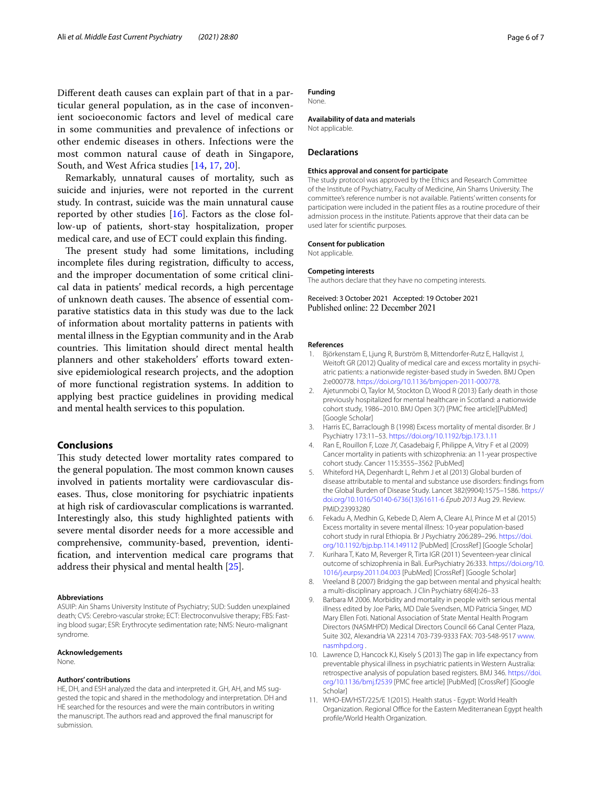Diferent death causes can explain part of that in a particular general population, as in the case of inconvenient socioeconomic factors and level of medical care in some communities and prevalence of infections or other endemic diseases in others. Infections were the most common natural cause of death in Singapore, South, and West Africa studies [\[14](#page-6-2), [17](#page-6-7), [20](#page-6-8)].

Remarkably, unnatural causes of mortality, such as suicide and injuries, were not reported in the current study. In contrast, suicide was the main unnatural cause reported by other studies [[16\]](#page-6-4). Factors as the close follow-up of patients, short-stay hospitalization, proper medical care, and use of ECT could explain this fnding.

The present study had some limitations, including incomplete files during registration, difficulty to access, and the improper documentation of some critical clinical data in patients' medical records, a high percentage of unknown death causes. The absence of essential comparative statistics data in this study was due to the lack of information about mortality patterns in patients with mental illness in the Egyptian community and in the Arab countries. This limitation should direct mental health planners and other stakeholders' efforts toward extensive epidemiological research projects, and the adoption of more functional registration systems. In addition to applying best practice guidelines in providing medical and mental health services to this population.

#### **Conclusions**

This study detected lower mortality rates compared to the general population. The most common known causes involved in patients mortality were cardiovascular diseases. Thus, close monitoring for psychiatric inpatients at high risk of cardiovascular complications is warranted. Interestingly also, this study highlighted patients with severe mental disorder needs for a more accessible and comprehensive, community-based, prevention, identifcation, and intervention medical care programs that address their physical and mental health [\[25\]](#page-6-13).

#### **Abbreviations**

ASUIP: Ain Shams University Institute of Psychiatry; SUD: Sudden unexplained death; CVS: Cerebro-vascular stroke; ECT: Electroconvulsive therapy; FBS: Fasting blood sugar; ESR: Erythrocyte sedimentation rate; NMS: Neuro-malignant syndrome.

#### **Acknowledgements**

None.

#### **Authors' contributions**

HE, DH, and ESH analyzed the data and interpreted it. GH, AH, and MS suggested the topic and shared in the methodology and interpretation. DH and HE searched for the resources and were the main contributors in writing the manuscript. The authors read and approved the fnal manuscript for submission.

#### **Funding**

None.

#### **Availability of data and materials**

Not applicable.

#### **Declarations**

#### **Ethics approval and consent for participate**

The study protocol was approved by the Ethics and Research Committee of the Institute of Psychiatry, Faculty of Medicine, Ain Shams University. The committee's reference number is not available. Patients' written consents for participation were included in the patient fles as a routine procedure of their admission process in the institute. Patients approve that their data can be used later for scientifc purposes.

#### **Consent for publication**

Not applicable.

#### **Competing interests**

The authors declare that they have no competing interests.

Received: 3 October 2021 Accepted: 19 October 2021

#### **References**

- <span id="page-5-0"></span>Björkenstam E, Ljung R, Burström B, Mittendorfer-Rutz E, Hallqvist J, Weitoft GR (2012) Quality of medical care and excess mortality in psychiatric patients: a nationwide register-based study in Sweden. BMJ Open 2:e000778. [https://doi.org/10.1136/bmjopen-2011-000778.](https://doi.org/10.1136/bmjopen-2011-000778)
- <span id="page-5-1"></span>2. Ajetunmobi O, Taylor M, Stockton D, Wood R (2013) Early death in those previously hospitalized for mental healthcare in Scotland: a nationwide cohort study, 1986–2010. BMJ Open 3(7) [PMC free article][PubMed] [Google Scholar]
- <span id="page-5-2"></span>3. Harris EC, Barraclough B (1998) Excess mortality of mental disorder. Br J Psychiatry 173:11–53.<https://doi.org/10.1192/bjp.173.1.11>
- <span id="page-5-3"></span>4. Ran E, Rouillon F, Loze JY, Casadebaig F, Philippe A, Vitry F et al (2009) Cancer mortality in patients with schizophrenia: an 11-year prospective cohort study. Cancer 115:3555–3562 [PubMed]
- <span id="page-5-4"></span>5. Whiteford HA, Degenhardt L, Rehm J et al (2013) Global burden of disease attributable to mental and substance use disorders: fndings from the Global Burden of Disease Study. Lancet 382(9904):1575–1586. [https://](https://doi.org/10.1016/S0140-6736(13)61611-6) [doi.org/10.1016/S0140-6736\(13\)61611-6](https://doi.org/10.1016/S0140-6736(13)61611-6) *Epub 2013* Aug 29. Review. PMID:23993280
- <span id="page-5-5"></span>6. Fekadu A, Medhin G, Kebede D, Alem A, Cleare AJ, Prince M et al (2015) Excess mortality in severe mental illness: 10-year population-based cohort study in rural Ethiopia. Br J Psychiatry 206:289–296. [https://doi.](https://doi.org/10.1192/bjp.bp.114.149112) [org/10.1192/bjp.bp.114.149112](https://doi.org/10.1192/bjp.bp.114.149112) [PubMed] [CrossRef ] [Google Scholar]
- <span id="page-5-6"></span>7. Kurihara T, Kato M, Reverger R, Tirta IGR (2011) Seventeen-year clinical outcome of schizophrenia in Bali. EurPsychiatry 26:333. [https://doi.org/10.](https://doi.org/10.1016/j.eurpsy.2011.04.003) [1016/j.eurpsy.2011.04.003](https://doi.org/10.1016/j.eurpsy.2011.04.003) [PubMed] [CrossRef ] [Google Scholar]
- <span id="page-5-7"></span>8. Vreeland B (2007) Bridging the gap between mental and physical health: a multi-disciplinary approach. J Clin Psychiatry 68(4):26–33
- <span id="page-5-8"></span>9. Barbara M 2006. Morbidity and mortality in people with serious mental illness edited by Joe Parks, MD Dale Svendsen, MD Patricia Singer, MD Mary Ellen Foti. National Association of State Mental Health Program Directors (NASMHPD) Medical Directors Council 66 Canal Center Plaza, Suite 302, Alexandria VA 22314 703-739-9333 FAX: 703-548-9517 [www.](http://www.nasmhpd.org) [nasmhpd.org](http://www.nasmhpd.org) .
- <span id="page-5-9"></span>10. Lawrence D, Hancock KJ, Kisely S (2013) The gap in life expectancy from preventable physical illness in psychiatric patients in Western Australia: retrospective analysis of population based registers. BMJ 346. [https://doi.](https://doi.org/10.1136/bmj.f2539) [org/10.1136/bmj.f2539](https://doi.org/10.1136/bmj.f2539) [PMC free article] [PubMed] [CrossRef ] [Google Scholar]
- <span id="page-5-10"></span>11. WHO-EM/HST/225/E 1(2015). Health status - Egypt: World Health Organization. Regional Office for the Eastern Mediterranean Egypt health profle/World Health Organization.